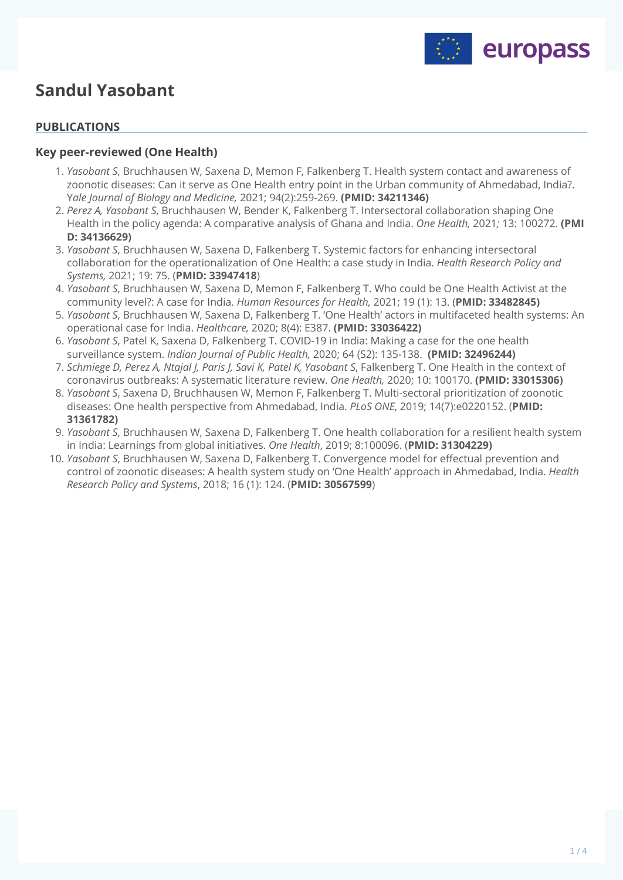

# **Sandul Yasobant**

### **PUBLICATIONS**

#### **Key peer-reviewed (One Health)**

- *Yasobant S*, Bruchhausen W, Saxena D, Memon F, Falkenberg T. Health system contact and awareness of 1. zoonotic diseases: Can it serve as One Health entry point in the Urban community of Ahmedabad, India?. Y*ale Journal of Biology and Medicine,* 2021; 94(2):259-269. **(PMID: 34211346)**
- *Perez A, Yasobant S*, Bruchhausen W, Bender K, Falkenberg T. Intersectoral collaboration shaping One 2. Health in the policy agenda: A comparative analysis of Ghana and India. *One Health,* 2021*;* 13: 100272. **(PMI D: 34136629)**
- *Yasobant S*, Bruchhausen W, Saxena D, Falkenberg T. Systemic factors for enhancing intersectoral 3. collaboration for the operationalization of One Health: a case study in India. *Health Research Policy and Systems,* 2021; 19: 75. (**PMID: 33947418**)
- *Yasobant S*, Bruchhausen W, Saxena D, Memon F, Falkenberg T. Who could be One Health Activist at the 4. community level?: A case for India. *Human Resources for Health,* 2021; 19 (1): 13. (**PMID: 33482845)**
- *Yasobant S*, Bruchhausen W, Saxena D, Falkenberg T. 'One Health' actors in multifaceted health systems: An 5. operational case for India. *Healthcare,* 2020; 8(4): E387. **(PMID: 33036422)**
- *Yasobant S*, Patel K, Saxena D, Falkenberg T. COVID-19 in India: Making a case for the one health 6. surveillance system. *Indian Journal of Public Health,* 2020; 64 (S2): 135-138. **(PMID: 32496244)**
- *Schmiege D, Perez A, Ntajal J, Paris J, Savi K, Patel K, Yasobant S*, Falkenberg T. One Health in the context of 7. coronavirus outbreaks: A systematic literature review. *One Health,* 2020; 10: 100170. **(PMID: 33015306)**
- *Yasobant S*, Saxena D, Bruchhausen W, Memon F, Falkenberg T. Multi-sectoral prioritization of zoonotic 8. diseases: One health perspective from Ahmedabad, India. *PLoS ONE*, 2019; 14(7):e0220152. (**PMID: 31361782)**
- *Yasobant S*, Bruchhausen W, Saxena D, Falkenberg T. One health collaboration for a resilient health system 9. in India: Learnings from global initiatives. *One Health*, 2019; 8:100096. (**PMID: 31304229)**
- *Yasobant S*, Bruchhausen W, Saxena D, Falkenberg T. Convergence model for effectual prevention and 10. control of zoonotic diseases: A health system study on 'One Health' approach in Ahmedabad, India. *Health Research Policy and Systems*, 2018; 16 (1): 124. (**PMID: 30567599**)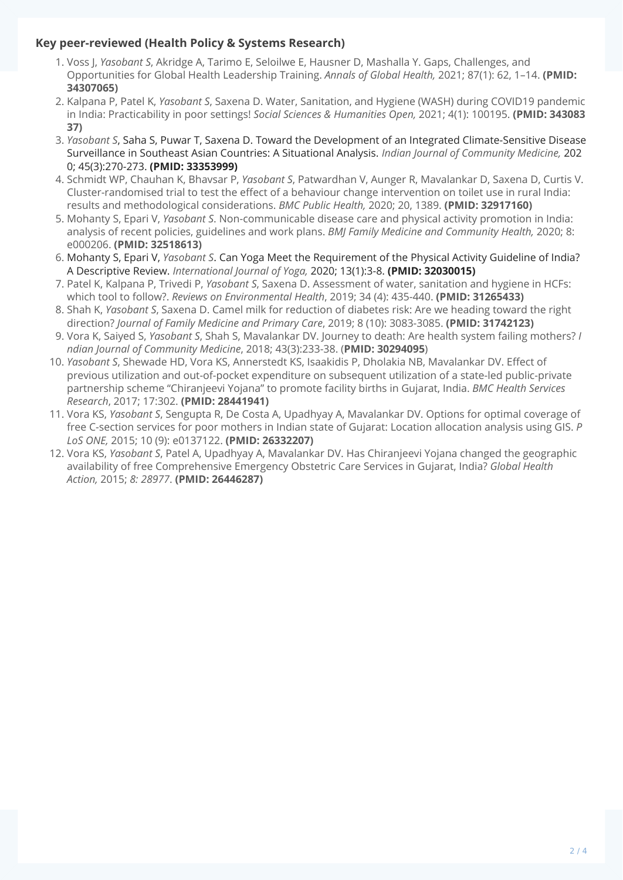## **Key peer-reviewed (Health Policy & Systems Research)**

- 1. Voss J, *Yasobant S*, Akridge A, Tarimo E, Seloilwe E, Hausner D, Mashalla Y. Gaps, Challenges, and Opportunities for Global Health Leadership Training. *Annals of Global Health,* 2021; 87(1): 62, 1–14. **(PMID: 34307065)**
- 2. Kalpana P, Patel K, *Yasobant S*, Saxena D. Water, Sanitation, and Hygiene (WASH) during COVID19 pandemic in India: Practicability in poor settings! *Social Sciences & Humanities Open,* 2021; 4(1): 100195. **(PMID: 343083 37)**
- *Yasobant S*, Saha S, Puwar T, Saxena D. Toward the Development of an Integrated Climate-Sensitive Disease 3. Surveillance in Southeast Asian Countries: A Situational Analysis. *Indian Journal of Community Medicine,* 202 0; 45(3):270-273. **(PMID: 33353999)**
- 4. Schmidt WP, Chauhan K, Bhavsar P, *Yasobant S*, Patwardhan V, Aunger R, Mavalankar D, Saxena D, Curtis V. Cluster-randomised trial to test the effect of a behaviour change intervention on toilet use in rural India: results and methodological considerations. *BMC Public Health,* 2020; 20, 1389. **(PMID: 32917160)**
- 5. Mohanty S, Epari V, *Yasobant S*. Non-communicable disease care and physical activity promotion in India: analysis of recent policies, guidelines and work plans. *BMJ Family Medicine and Community Health,* 2020; 8: e000206. **(PMID: 32518613)**
- 6. Mohanty S, Epari V, *Yasobant S*. Can Yoga Meet the Requirement of the Physical Activity Guideline of India? A Descriptive Review. *International Journal of Yoga,* 2020; 13(1):3-8. **(PMID: 32030015)**
- Patel K, Kalpana P, Trivedi P, *Yasobant S*, Saxena D. Assessment of water, sanitation and hygiene in HCFs: 7. which tool to follow?. *Reviews on Environmental Health*, 2019; 34 (4): 435-440. **(PMID: 31265433)**
- Shah K, *Yasobant S*, Saxena D. Camel milk for reduction of diabetes risk: Are we heading toward the right 8. direction? *Journal of Family Medicine and Primary Care*, 2019; 8 (10): 3083-3085. **(PMID: 31742123)**
- Vora K, Saiyed S, *Yasobant S*, Shah S, Mavalankar DV. Journey to death: Are health system failing mothers? *I* 9. *ndian Journal of Community Medicine*, 2018; 43(3):233-38. (**PMID: 30294095**)
- *Yasobant S*, Shewade HD, Vora KS, Annerstedt KS, Isaakidis P, Dholakia NB, Mavalankar DV. Effect of 10. previous utilization and out-of-pocket expenditure on subsequent utilization of a state-led public-private partnership scheme "Chiranjeevi Yojana" to promote facility births in Gujarat, India. *BMC Health Services Research*, 2017; 17:302. **(PMID: 28441941)**
- 11. Vora KS, *Yasobant S*, Sengupta R, De Costa A, Upadhyay A, Mavalankar DV. Options for optimal coverage of free C-section services for poor mothers in Indian state of Gujarat: Location allocation analysis using GIS. *P LoS ONE,* 2015; 10 (9): e0137122. **(PMID: 26332207)**
- 12. Vora KS, *Yasobant S*, Patel A, Upadhyay A, Mavalankar DV. Has Chiranjeevi Yojana changed the geographic availability of free Comprehensive Emergency Obstetric Care Services in Gujarat, India? *Global Health Action,* 2015; *8: 28977*. **(PMID: 26446287)**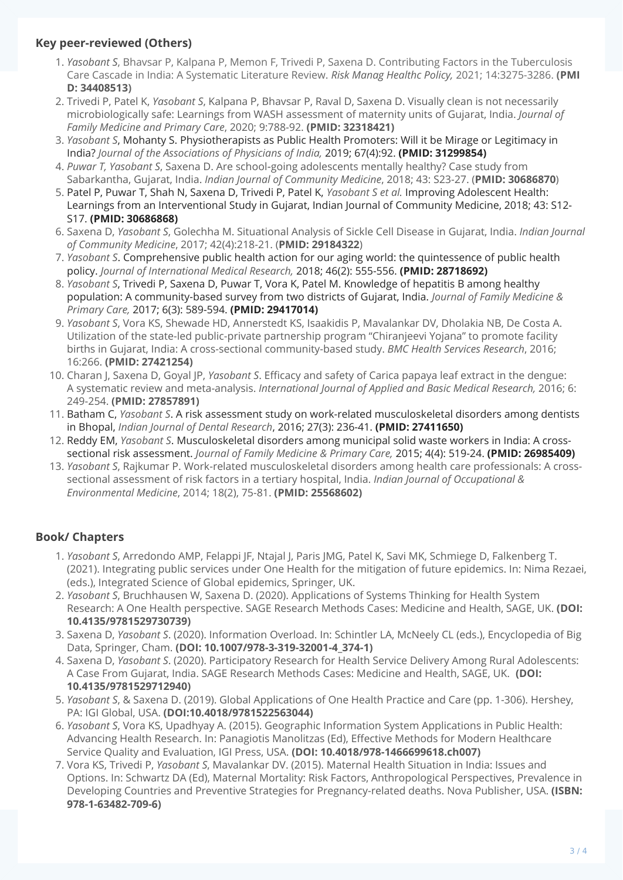## **Key peer-reviewed (Others)**

- *Yasobant S*, Bhavsar P, Kalpana P, Memon F, Trivedi P, Saxena D. Contributing Factors in the Tuberculosis 1. Care Cascade in India: A Systematic Literature Review. *Risk Manag Healthc Policy,* 2021; 14:3275-3286. **(PMI D: 34408513)**
- 2. Trivedi P, Patel K, *Yasobant S*, Kalpana P, Bhavsar P, Raval D, Saxena D. Visually clean is not necessarily microbiologically safe: Learnings from WASH assessment of maternity units of Gujarat, India. *Journal of Family Medicine and Primary Care*, 2020; 9:788-92. **(PMID: 32318421)**
- *Yasobant S*, Mohanty S. Physiotherapists as Public Health Promoters: Will it be Mirage or Legitimacy in 3. India? *Journal of the Associations of Physicians of India,* 2019; 67(4):92. **(PMID: 31299854)**
- *Puwar T, Yasobant S*, Saxena D. Are school‑going adolescents mentally healthy? Case study from 4. Sabarkantha, Gujarat, India. *Indian Journal of Community Medicine*, 2018; 43: S23-27. (**PMID: 30686870**)
- 5. Patel P, Puwar T, Shah N, Saxena D, Trivedi P, Patel K, *Yasobant S et al.* Improving Adolescent Health: Learnings from an Interventional Study in Gujarat, Indian Journal of Community Medicine, 2018; 43: S12- S17. **(PMID: 30686868)**
- Saxena D, *Yasobant S*, Golechha M. Situational Analysis of Sickle Cell Disease in Gujarat, India. *Indian Journal* 6. *of Community Medicine*, 2017; 42(4):218-21. (**PMID: 29184322**)
- *Yasobant S*. Comprehensive public health action for our aging world: the quintessence of public health 7. policy. *Journal of International Medical Research,* 2018; 46(2): 555-556. **(PMID: 28718692)**
- *Yasobant S*, Trivedi P, Saxena D, Puwar T, Vora K, Patel M. Knowledge of hepatitis B among healthy 8. population: A community-based survey from two districts of Gujarat, India. *Journal of Family Medicine & Primary Care,* 2017; 6(3): 589-594. **(PMID: 29417014)**
- *Yasobant S*, Vora KS, Shewade HD, Annerstedt KS, Isaakidis P, Mavalankar DV, Dholakia NB, De Costa A. 9. Utilization of the state-led public-private partnership program "Chiranjeevi Yojana" to promote facility births in Gujarat, India: A cross-sectional community-based study. *BMC Health Services Research*, 2016; 16:266. **(PMID: 27421254)**
- 10. Charan J, Saxena D, Goyal JP, *Yasobant S*. Efficacy and safety of Carica papaya leaf extract in the dengue: A systematic review and meta-analysis. *International Journal of Applied and Basic Medical Research,* 2016; 6: 249-254. **(PMID: 27857891)**
- 11. Batham C, *Yasobant S*. A risk assessment study on work-related musculoskeletal disorders among dentists in Bhopal, *Indian Journal of Dental Research*, 2016; 27(3): 236-41. **(PMID: 27411650)**
- 12. Reddy EM, *Yasobant S*. Musculoskeletal disorders among municipal solid waste workers in India: A crosssectional risk assessment. *Journal of Family Medicine & Primary Care,* 2015; 4(4): 519-24. **(PMID: 26985409)**
- *Yasobant S*, Rajkumar P. Work-related musculoskeletal disorders among health care professionals: A cross-13. sectional assessment of risk factors in a tertiary hospital, India. *Indian Journal of Occupational & Environmental Medicine*, 2014; 18(2), 75-81. **(PMID: 25568602)**

# **Book/ Chapters**

- *Yasobant S*, Arredondo AMP, Felappi JF, Ntajal J, Paris JMG, Patel K, Savi MK, Schmiege D, Falkenberg T. 1. (2021). Integrating public services under One Health for the mitigation of future epidemics. In: Nima Rezaei, (eds.), Integrated Science of Global epidemics, Springer, UK.
- *Yasobant S*, Bruchhausen W, Saxena D. (2020). Applications of Systems Thinking for Health System 2. Research: A One Health perspective. SAGE Research Methods Cases: Medicine and Health, SAGE, UK. **(DOI: 10.4135/9781529730739)**
- 3. Saxena D, *Yasobant S*. (2020). Information Overload. In: Schintler LA, McNeely CL (eds.), Encyclopedia of Big Data, Springer, Cham. **(DOI: 10.1007/978-3-319-32001-4\_374-1)**
- 4. Saxena D, *Yasobant S*. (2020). Participatory Research for Health Service Delivery Among Rural Adolescents: A Case From Gujarat, India. SAGE Research Methods Cases: Medicine and Health, SAGE, UK. **(DOI: 10.4135/9781529712940)**
- *Yasobant S*, & Saxena D. (2019). Global Applications of One Health Practice and Care (pp. 1-306). Hershey, 5. PA: IGI Global, USA. **(DOI:10.4018/9781522563044)**
- *Yasobant S*, Vora KS, Upadhyay A. (2015). Geographic Information System Applications in Public Health: 6. Advancing Health Research. In: Panagiotis Manolitzas (Ed), Effective Methods for Modern Healthcare Service Quality and Evaluation, IGI Press, USA. **(DOI: 10.4018/978-1466699618.ch007)**
- 7. Vora KS, Trivedi P, *Yasobant S*, Mavalankar DV. (2015). Maternal Health Situation in India: Issues and Options. In: Schwartz DA (Ed), Maternal Mortality: Risk Factors, Anthropological Perspectives, Prevalence in Developing Countries and Preventive Strategies for Pregnancy-related deaths. Nova Publisher, USA. **(ISBN: 978-1-63482-709-6)**